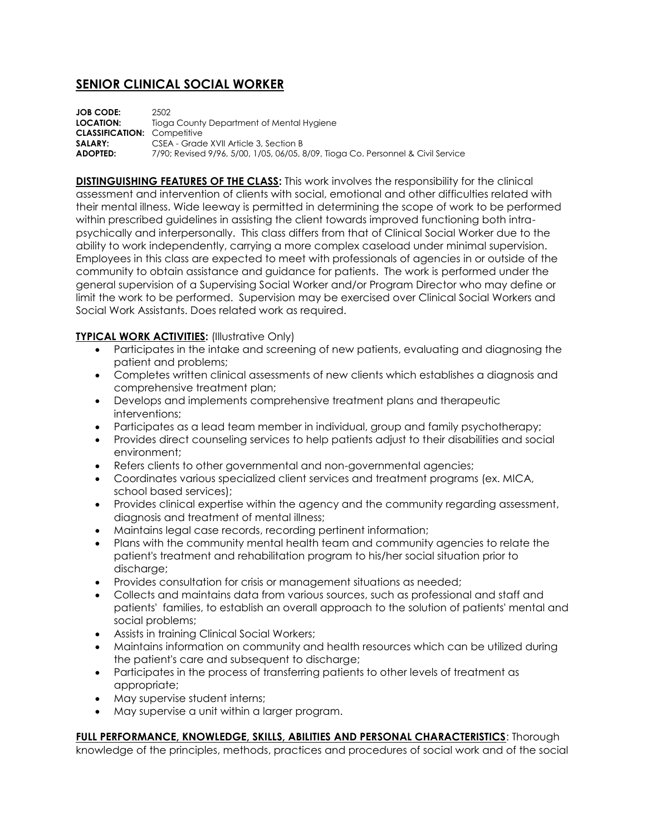# **SENIOR CLINICAL SOCIAL WORKER**

**JOB CODE:** 2502 **LOCATION:** Tioga County Department of Mental Hygiene **CLASSIFICATION:** Competitive **SALARY:** CSEA - Grade XVII Article 3, Section B<br>**ADOPTED:** 7/90: Revised 9/96, 5/00, 1/05, 06/05, 8 **ADOPTED:** 7/90; Revised 9/96, 5/00, 1/05, 06/05, 8/09, Tioga Co. Personnel & Civil Service

**DISTINGUISHING FEATURES OF THE CLASS:** This work involves the responsibility for the clinical assessment and intervention of clients with social, emotional and other difficulties related with their mental illness. Wide leeway is permitted in determining the scope of work to be performed within prescribed guidelines in assisting the client towards improved functioning both intrapsychically and interpersonally. This class differs from that of Clinical Social Worker due to the ability to work independently, carrying a more complex caseload under minimal supervision. Employees in this class are expected to meet with professionals of agencies in or outside of the community to obtain assistance and guidance for patients. The work is performed under the general supervision of a Supervising Social Worker and/or Program Director who may define or limit the work to be performed. Supervision may be exercised over Clinical Social Workers and Social Work Assistants. Does related work as required.

# **TYPICAL WORK ACTIVITIES:** (Illustrative Only)

- Participates in the intake and screening of new patients, evaluating and diagnosing the patient and problems;
- Completes written clinical assessments of new clients which establishes a diagnosis and comprehensive treatment plan;
- Develops and implements comprehensive treatment plans and therapeutic interventions;
- Participates as a lead team member in individual, group and family psychotherapy;
- Provides direct counseling services to help patients adjust to their disabilities and social environment;
- Refers clients to other governmental and non-governmental agencies;
- Coordinates various specialized client services and treatment programs (ex. MICA, school based services);
- Provides clinical expertise within the agency and the community regarding assessment, diagnosis and treatment of mental illness;
- Maintains legal case records, recording pertinent information;
- Plans with the community mental health team and community agencies to relate the patient's treatment and rehabilitation program to his/her social situation prior to discharge;
- Provides consultation for crisis or management situations as needed;
- Collects and maintains data from various sources, such as professional and staff and patients' families, to establish an overall approach to the solution of patients' mental and social problems;
- Assists in training Clinical Social Workers;
- Maintains information on community and health resources which can be utilized during the patient's care and subsequent to discharge;
- Participates in the process of transferring patients to other levels of treatment as appropriate;
- May supervise student interns;
- May supervise a unit within a larger program.

**FULL PERFORMANCE, KNOWLEDGE, SKILLS, ABILITIES AND PERSONAL CHARACTERISTICS**: Thorough knowledge of the principles, methods, practices and procedures of social work and of the social